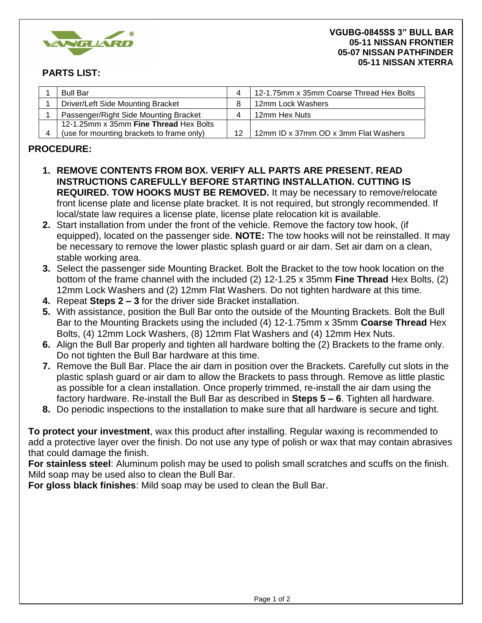

## **PARTS LIST:**

| <b>Bull Bar</b>                           | 4  | 12-1.75mm x 35mm Coarse Thread Hex Bolts |
|-------------------------------------------|----|------------------------------------------|
| <b>Driver/Left Side Mounting Bracket</b>  |    | 12mm Lock Washers                        |
| Passenger/Right Side Mounting Bracket     | 4  | 12mm Hex Nuts                            |
| 12-1.25mm x 35mm Fine Thread Hex Bolts    |    |                                          |
| (use for mounting brackets to frame only) | 12 | 12mm ID x 37mm OD x 3mm Flat Washers     |

## **PROCEDURE:**

- **1. REMOVE CONTENTS FROM BOX. VERIFY ALL PARTS ARE PRESENT. READ INSTRUCTIONS CAREFULLY BEFORE STARTING INSTALLATION. CUTTING IS REQUIRED. TOW HOOKS MUST BE REMOVED.** It may be necessary to remove/relocate front license plate and license plate bracket. It is not required, but strongly recommended. If local/state law requires a license plate, license plate relocation kit is available.
- **2.** Start installation from under the front of the vehicle. Remove the factory tow hook, (if equipped), located on the passenger side. **NOTE:** The tow hooks will not be reinstalled. It may be necessary to remove the lower plastic splash guard or air dam. Set air dam on a clean, stable working area.
- **3.** Select the passenger side Mounting Bracket. Bolt the Bracket to the tow hook location on the bottom of the frame channel with the included (2) 12-1.25 x 35mm **Fine Thread** Hex Bolts, (2) 12mm Lock Washers and (2) 12mm Flat Washers. Do not tighten hardware at this time.
- **4.** Repeat **Steps 2 3** for the driver side Bracket installation.
- **5.** With assistance, position the Bull Bar onto the outside of the Mounting Brackets. Bolt the Bull Bar to the Mounting Brackets using the included (4) 12-1.75mm x 35mm **Coarse Thread** Hex Bolts, (4) 12mm Lock Washers, (8) 12mm Flat Washers and (4) 12mm Hex Nuts.
- **6.** Align the Bull Bar properly and tighten all hardware bolting the (2) Brackets to the frame only. Do not tighten the Bull Bar hardware at this time.
- **7.** Remove the Bull Bar. Place the air dam in position over the Brackets. Carefully cut slots in the plastic splash guard or air dam to allow the Brackets to pass through. Remove as little plastic as possible for a clean installation. Once properly trimmed, re-install the air dam using the factory hardware. Re-install the Bull Bar as described in **Steps 5 – 6**. Tighten all hardware.
- **8.** Do periodic inspections to the installation to make sure that all hardware is secure and tight.

**To protect your investment**, wax this product after installing. Regular waxing is recommended to add a protective layer over the finish. Do not use any type of polish or wax that may contain abrasives that could damage the finish.

**For stainless steel**: Aluminum polish may be used to polish small scratches and scuffs on the finish. Mild soap may be used also to clean the Bull Bar.

**For gloss black finishes**: Mild soap may be used to clean the Bull Bar.